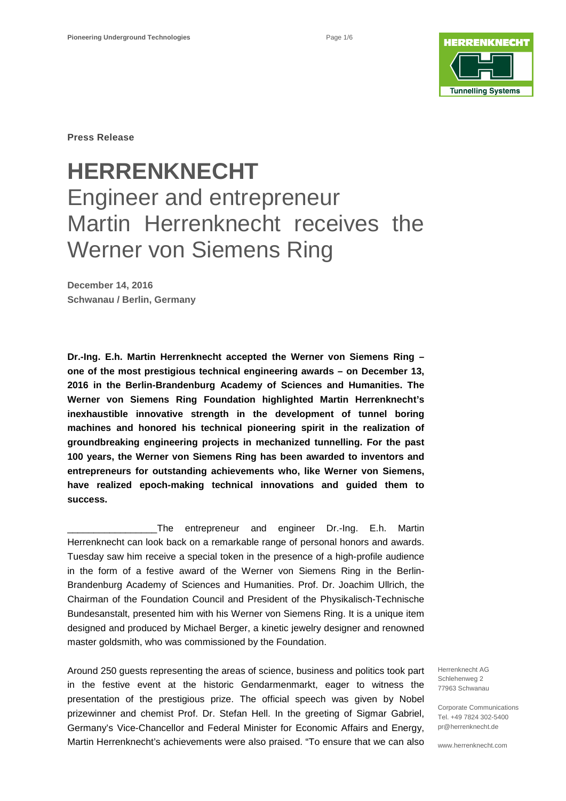

**Press Release**

# **HERRENKNECHT** Engineer and entrepreneur Martin Herrenknecht receives the Werner von Siemens Ring

**December 14, 2016 Schwanau / Berlin, Germany**

**Dr.-Ing. E.h. Martin Herrenknecht accepted the Werner von Siemens Ring – one of the most prestigious technical engineering awards – on December 13, 2016 in the Berlin-Brandenburg Academy of Sciences and Humanities. The Werner von Siemens Ring Foundation highlighted Martin Herrenknecht's inexhaustible innovative strength in the development of tunnel boring machines and honored his technical pioneering spirit in the realization of groundbreaking engineering projects in mechanized tunnelling. For the past 100 years, the Werner von Siemens Ring has been awarded to inventors and entrepreneurs for outstanding achievements who, like Werner von Siemens, have realized epoch-making technical innovations and guided them to success.**

The entrepreneur and engineer Dr.-Ing. E.h. Martin Herrenknecht can look back on a remarkable range of personal honors and awards. Tuesday saw him receive a special token in the presence of a high-profile audience in the form of a festive award of the Werner von Siemens Ring in the Berlin-Brandenburg Academy of Sciences and Humanities. Prof. Dr. Joachim Ullrich, the Chairman of the Foundation Council and President of the Physikalisch-Technische Bundesanstalt, presented him with his Werner von Siemens Ring. It is a unique item designed and produced by Michael Berger, a kinetic jewelry designer and renowned master goldsmith, who was commissioned by the Foundation.

Around 250 guests representing the areas of science, business and politics took part in the festive event at the historic Gendarmenmarkt, eager to witness the presentation of the prestigious prize. The official speech was given by Nobel prizewinner and chemist Prof. Dr. Stefan Hell. In the greeting of Sigmar Gabriel, Germany's Vice-Chancellor and Federal Minister for Economic Affairs and Energy, Martin Herrenknecht's achievements were also praised. "To ensure that we can also

Herrenknecht AG Schlehenweg 2 77963 Schwanau

Corporate Communications Tel. +49 7824 302-5400 pr@herrenknecht.de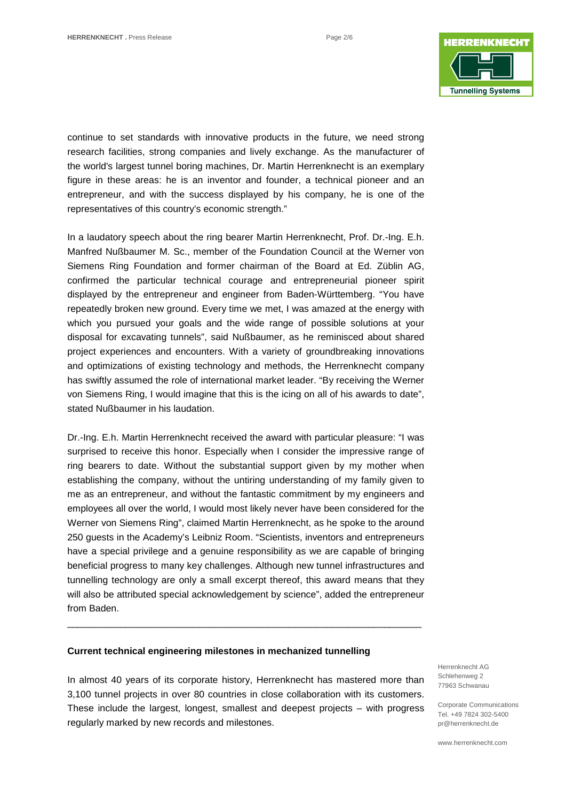

continue to set standards with innovative products in the future, we need strong research facilities, strong companies and lively exchange. As the manufacturer of the world's largest tunnel boring machines, Dr. Martin Herrenknecht is an exemplary figure in these areas: he is an inventor and founder, a technical pioneer and an entrepreneur, and with the success displayed by his company, he is one of the representatives of this country's economic strength."

In a laudatory speech about the ring bearer Martin Herrenknecht, Prof. Dr.-Ing. E.h. Manfred Nußbaumer M. Sc., member of the Foundation Council at the Werner von Siemens Ring Foundation and former chairman of the Board at Ed. Züblin AG, confirmed the particular technical courage and entrepreneurial pioneer spirit displayed by the entrepreneur and engineer from Baden-Württemberg. "You have repeatedly broken new ground. Every time we met, I was amazed at the energy with which you pursued your goals and the wide range of possible solutions at your disposal for excavating tunnels", said Nußbaumer, as he reminisced about shared project experiences and encounters. With a variety of groundbreaking innovations and optimizations of existing technology and methods, the Herrenknecht company has swiftly assumed the role of international market leader. "By receiving the Werner von Siemens Ring, I would imagine that this is the icing on all of his awards to date", stated Nußbaumer in his laudation.

Dr.-Ing. E.h. Martin Herrenknecht received the award with particular pleasure: "I was surprised to receive this honor. Especially when I consider the impressive range of ring bearers to date. Without the substantial support given by my mother when establishing the company, without the untiring understanding of my family given to me as an entrepreneur, and without the fantastic commitment by my engineers and employees all over the world, I would most likely never have been considered for the Werner von Siemens Ring", claimed Martin Herrenknecht, as he spoke to the around 250 guests in the Academy's Leibniz Room. "Scientists, inventors and entrepreneurs have a special privilege and a genuine responsibility as we are capable of bringing beneficial progress to many key challenges. Although new tunnel infrastructures and tunnelling technology are only a small excerpt thereof, this award means that they will also be attributed special acknowledgement by science", added the entrepreneur from Baden.

#### **Current technical engineering milestones in mechanized tunnelling**

In almost 40 years of its corporate history, Herrenknecht has mastered more than 3,100 tunnel projects in over 80 countries in close collaboration with its customers. These include the largest, longest, smallest and deepest projects – with progress regularly marked by new records and milestones.

\_\_\_\_\_\_\_\_\_\_\_\_\_\_\_\_\_\_\_\_\_\_\_\_\_\_\_\_\_\_\_\_\_\_\_\_\_\_\_\_\_\_\_\_\_\_\_\_\_\_\_\_\_\_\_\_\_\_\_\_\_\_\_\_\_\_\_

Herrenknecht AG Schlehenweg 2 77963 Schwanau

Corporate Communications Tel. +49 7824 302-5400 pr@herrenknecht.de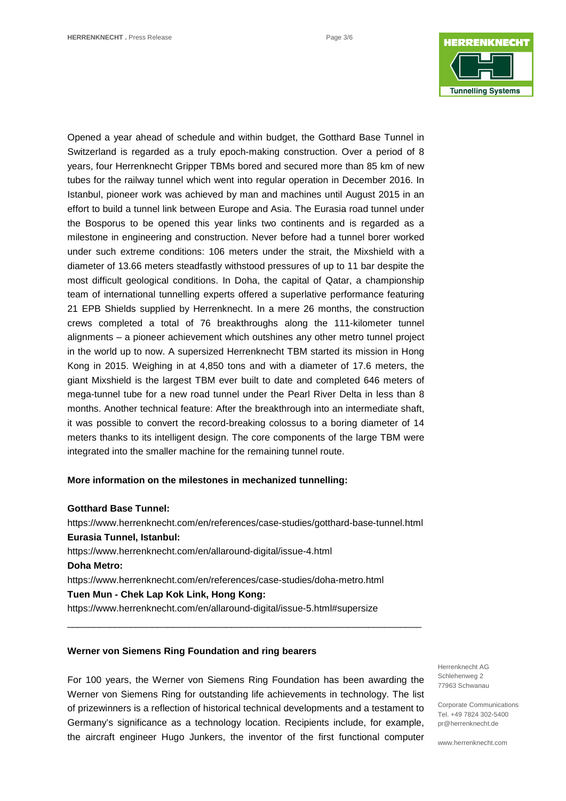

Opened a year ahead of schedule and within budget, the Gotthard Base Tunnel in Switzerland is regarded as a truly epoch-making construction. Over a period of 8 years, four Herrenknecht Gripper TBMs bored and secured more than 85 km of new tubes for the railway tunnel which went into regular operation in December 2016. In Istanbul, pioneer work was achieved by man and machines until August 2015 in an effort to build a tunnel link between Europe and Asia. The Eurasia road tunnel under the Bosporus to be opened this year links two continents and is regarded as a milestone in engineering and construction. Never before had a tunnel borer worked under such extreme conditions: 106 meters under the strait, the Mixshield with a diameter of 13.66 meters steadfastly withstood pressures of up to 11 bar despite the most difficult geological conditions. In Doha, the capital of Qatar, a championship team of international tunnelling experts offered a superlative performance featuring 21 EPB Shields supplied by Herrenknecht. In a mere 26 months, the construction crews completed a total of 76 breakthroughs along the 111-kilometer tunnel alignments – a pioneer achievement which outshines any other metro tunnel project in the world up to now. A supersized Herrenknecht TBM started its mission in Hong Kong in 2015. Weighing in at 4,850 tons and with a diameter of 17.6 meters, the giant Mixshield is the largest TBM ever built to date and completed 646 meters of mega-tunnel tube for a new road tunnel under the Pearl River Delta in less than 8 months. Another technical feature: After the breakthrough into an intermediate shaft, it was possible to convert the record-breaking colossus to a boring diameter of 14 meters thanks to its intelligent design. The core components of the large TBM were integrated into the smaller machine for the remaining tunnel route.

#### **More information on the milestones in mechanized tunnelling:**

#### **Gotthard Base Tunnel:**

<https://www.herrenknecht.com/en/references/case-studies/gotthard-base-tunnel.html> **Eurasia Tunnel, Istanbul:**  <https://www.herrenknecht.com/en/allaround-digital/issue-4.html> **Doha Metro:**  <https://www.herrenknecht.com/en/references/case-studies/doha-metro.html> **Tuen Mun - Chek Lap Kok Link, Hong Kong:** <https://www.herrenknecht.com/en/allaround-digital/issue-5.html#supersize>

\_\_\_\_\_\_\_\_\_\_\_\_\_\_\_\_\_\_\_\_\_\_\_\_\_\_\_\_\_\_\_\_\_\_\_\_\_\_\_\_\_\_\_\_\_\_\_\_\_\_\_\_\_\_\_\_\_\_\_\_\_\_\_\_\_\_\_

### **Werner von Siemens Ring Foundation and ring bearers**

For 100 years, the Werner von Siemens Ring Foundation has been awarding the Werner von Siemens Ring for outstanding life achievements in technology. The list of prizewinners is a reflection of historical technical developments and a testament to Germany's significance as a technology location. Recipients include, for example, the aircraft engineer Hugo Junkers, the inventor of the first functional computer

Herrenknecht AG Schlehenweg 2 77963 Schwanau

Corporate Communications Tel. +49 7824 302-5400 pr@herrenknecht.de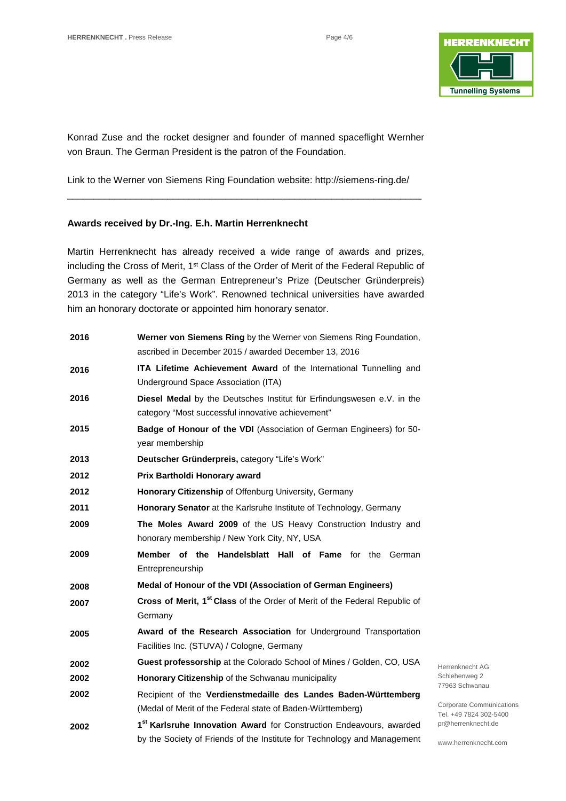

Konrad Zuse and the rocket designer and founder of manned spaceflight Wernher von Braun. The German President is the patron of the Foundation.

Link to the Werner von Siemens Ring Foundation website:<http://siemens-ring.de/> \_\_\_\_\_\_\_\_\_\_\_\_\_\_\_\_\_\_\_\_\_\_\_\_\_\_\_\_\_\_\_\_\_\_\_\_\_\_\_\_\_\_\_\_\_\_\_\_\_\_\_\_\_\_\_\_\_\_\_\_\_\_\_\_\_\_\_

## **Awards received by Dr.-Ing. E.h. Martin Herrenknecht**

Martin Herrenknecht has already received a wide range of awards and prizes, including the Cross of Merit, 1<sup>st</sup> Class of the Order of Merit of the Federal Republic of Germany as well as the German Entrepreneur's Prize (Deutscher Gründerpreis) 2013 in the category "Life's Work". Renowned technical universities have awarded him an honorary doctorate or appointed him honorary senator.

| 2016 | Werner von Siemens Ring by the Werner von Siemens Ring Foundation,                     |                |
|------|----------------------------------------------------------------------------------------|----------------|
|      | ascribed in December 2015 / awarded December 13, 2016                                  |                |
| 2016 | ITA Lifetime Achievement Award of the International Tunnelling and                     |                |
|      | Underground Space Association (ITA)                                                    |                |
| 2016 | Diesel Medal by the Deutsches Institut für Erfindungswesen e.V. in the                 |                |
|      | category "Most successful innovative achievement"                                      |                |
| 2015 | Badge of Honour of the VDI (Association of German Engineers) for 50-                   |                |
|      | year membership                                                                        |                |
| 2013 | Deutscher Gründerpreis, category "Life's Work"                                         |                |
| 2012 | Prix Bartholdi Honorary award                                                          |                |
| 2012 | Honorary Citizenship of Offenburg University, Germany                                  |                |
| 2011 | <b>Honorary Senator</b> at the Karlsruhe Institute of Technology, Germany              |                |
| 2009 | The Moles Award 2009 of the US Heavy Construction Industry and                         |                |
|      | honorary membership / New York City, NY, USA                                           |                |
| 2009 | Member of the<br><b>Handelsblatt Hall of Fame</b> for the German                       |                |
|      | Entrepreneurship                                                                       |                |
| 2008 | Medal of Honour of the VDI (Association of German Engineers)                           |                |
| 2007 | Cross of Merit, 1 <sup>st</sup> Class of the Order of Merit of the Federal Republic of |                |
|      | Germany                                                                                |                |
| 2005 | Award of the Research Association for Underground Transportation                       |                |
|      | Facilities Inc. (STUVA) / Cologne, Germany                                             |                |
| 2002 | Guest professorship at the Colorado School of Mines / Golden, CO, USA                  |                |
| 2002 | Honorary Citizenship of the Schwanau municipality                                      | ś              |
| 2002 | Recipient of the Verdienstmedaille des Landes Baden-Württemberg                        |                |
|      | (Medal of Merit of the Federal state of Baden-Württemberg)                             | (              |
| 2002 | 1st Karlsruhe Innovation Award for Construction Endeavours, awarded                    | $\mathfrak{r}$ |
|      | by the Society of Friends of the Institute for Technology and Management               |                |

Herrenknecht AG Schlehenweg 2 77963 Schwanau

Corporate Communications Tel. +49 7824 302-5400 pr@herrenknecht.de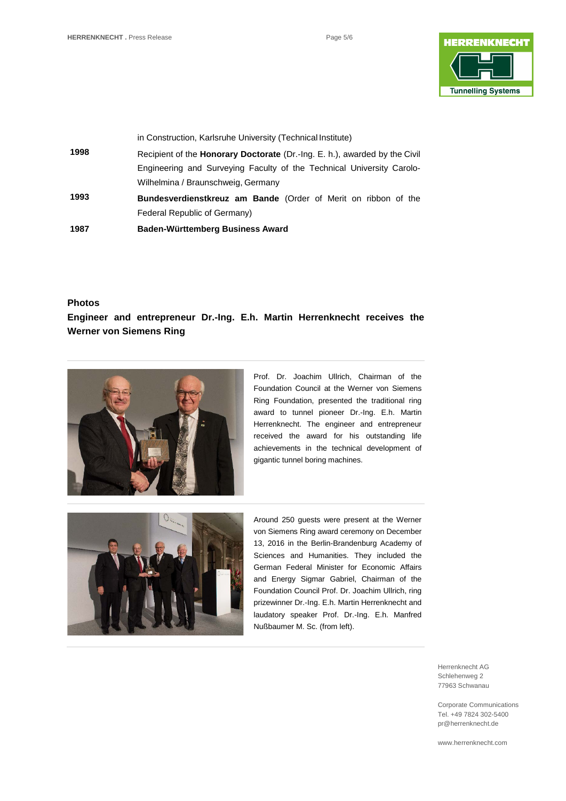

| 1987 | Baden-Württemberg Business Award                                                  |
|------|-----------------------------------------------------------------------------------|
|      | Federal Republic of Germany)                                                      |
| 1993 | <b>Bundesverdienstkreuz am Bande</b> (Order of Merit on ribbon of the             |
|      | Wilhelmina / Braunschweig, Germany                                                |
|      | Engineering and Surveying Faculty of the Technical University Carolo-             |
| 1998 | Recipient of the <b>Honorary Doctorate</b> (Dr.-Ing. E. h.), awarded by the Civil |
|      | in Construction, Karlsruhe University (Technical Institute)                       |

## **Photos**

## **Engineer and entrepreneur Dr.-Ing. E.h. Martin Herrenknecht receives the Werner von Siemens Ring**



Prof. Dr. Joachim Ullrich, Chairman of the Foundation Council at the Werner von Siemens Ring Foundation, presented the traditional ring award to tunnel pioneer Dr.-Ing. E.h. Martin Herrenknecht. The engineer and entrepreneur received the award for his outstanding life achievements in the technical development of gigantic tunnel boring machines.



Around 250 guests were present at the Werner von Siemens Ring award ceremony on December 13, 2016 in the Berlin-Brandenburg Academy of Sciences and Humanities. They included the German Federal Minister for Economic Affairs and Energy Sigmar Gabriel, Chairman of the Foundation Council Prof. Dr. Joachim Ullrich, ring prizewinner Dr.-Ing. E.h. Martin Herrenknecht and laudatory speaker Prof. Dr.-Ing. E.h. Manfred Nußbaumer M. Sc. (from left).

> Herrenknecht AG Schlehenweg 2 77963 Schwanau

Corporate Communications Tel. +49 7824 302-5400 pr@herrenknecht.de